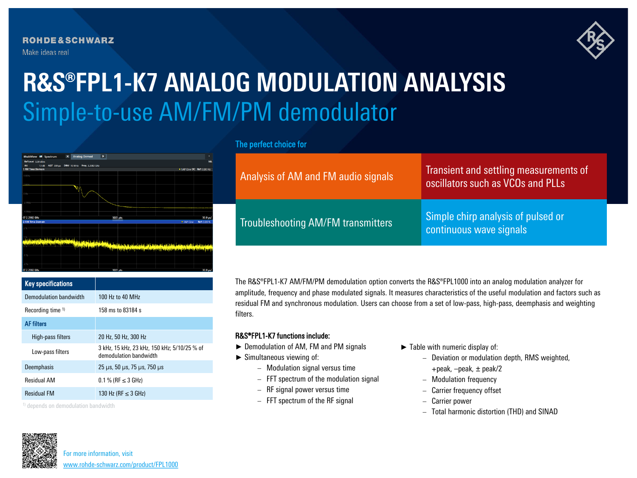**ROHDE&SCHWARZ** Make ideas real



# **R&S®FPL1-K7 ANALOG MODULATION ANALYSIS** Simple-to-use AM/FM/PM demodulator

| MultiView <b>EE</b> Spectrum |      |                   | $\overline{\mathbf{x}}$ | <b>Analog Demod</b>        | $\vert x \vert$ |                              |                                               |                            | ٠          |
|------------------------------|------|-------------------|-------------------------|----------------------------|-----------------|------------------------------|-----------------------------------------------|----------------------------|------------|
| Ref Level 0,00 dBm           |      |                   |                         |                            |                 |                              |                                               |                            | SGL        |
| Att<br>1 FM Time Domain      | 13dB | AQT $300 \,\mu s$ |                         | DBW 10 MHz Freq 2.2982 GHz |                 |                              |                                               | . 1AP Clrw DC Ref: 0.00 Hz |            |
|                              |      |                   |                         |                            |                 |                              |                                               |                            |            |
| 4 MHz                        |      |                   |                         |                            |                 |                              |                                               |                            |            |
| 2 MHz                        |      |                   |                         |                            |                 |                              |                                               |                            |            |
|                              |      |                   |                         |                            |                 |                              |                                               |                            |            |
| 0 Hz                         |      |                   |                         |                            |                 |                              |                                               |                            |            |
|                              |      |                   |                         |                            |                 |                              |                                               |                            |            |
| $-2$ MHz-                    |      |                   |                         |                            |                 |                              |                                               |                            |            |
|                              |      |                   |                         |                            |                 |                              |                                               |                            |            |
| 4 MHz                        |      |                   |                         |                            |                 |                              |                                               |                            |            |
| CF 2.2982 GHz                |      |                   |                         |                            |                 | 1001 pts                     |                                               |                            | 30.0 µs/   |
| 2 AM Time Domain             |      |                   |                         |                            |                 |                              |                                               | · 1AP Clrw                 | Ref: 0.00% |
|                              |      |                   |                         |                            |                 |                              |                                               |                            |            |
|                              |      |                   |                         |                            |                 |                              |                                               |                            |            |
|                              |      |                   |                         |                            |                 |                              |                                               |                            |            |
|                              |      |                   | تسخيعنا تملمتن          |                            |                 |                              |                                               |                            |            |
|                              |      |                   |                         |                            | من وريمان أنشأ  |                              |                                               |                            |            |
|                              |      |                   |                         |                            |                 | فنطحوه فأولعاء أوالقلم والتو | بالباع بمنىء ومناقبها أخسلوا وتنتقيها لتمكسون |                            |            |
|                              |      |                   |                         |                            |                 |                              |                                               |                            |            |
|                              |      |                   |                         |                            |                 |                              |                                               |                            |            |
|                              |      |                   |                         |                            |                 |                              |                                               |                            |            |
| CF 2 2982 GHS                |      |                   |                         |                            |                 | 1001 nts                     |                                               |                            | 30.0 HZ    |

| <b>Key specifications</b>    |                                                                                    |  |  |
|------------------------------|------------------------------------------------------------------------------------|--|--|
| Demodulation bandwidth       | 100 Hz to 40 MHz                                                                   |  |  |
| Recording time <sup>1)</sup> | 158 ms to 83184 s                                                                  |  |  |
| <b>AF</b> filters            |                                                                                    |  |  |
| High-pass filters            | 20 Hz, 50 Hz, 300 Hz                                                               |  |  |
| Low-pass filters             | 3 kHz, 15 kHz, 23 kHz, 150 kHz; 5/10/25 % of<br>demodulation bandwidth             |  |  |
| Deemphasis                   | $25 \text{ }\mu\text{s}$ , 50 $\mu\text{s}$ , 75 $\mu\text{s}$ , 750 $\mu\text{s}$ |  |  |
| <b>Residual AM</b>           | $0.1\%$ (RF $\leq$ 3 GHz)                                                          |  |  |
| <b>Residual FM</b>           | 130 Hz (RF $\leq$ 3 GHz)                                                           |  |  |
|                              |                                                                                    |  |  |

1) depends on demodulation bandwidth

# The perfect choice for

| Analysis of AM and FM audio signals | Transient and settling measurements of<br>oscillators such as VCOs and PLLs |
|-------------------------------------|-----------------------------------------------------------------------------|
| Troubleshooting AM/FM transmitters  | Simple chirp analysis of pulsed or<br>continuous wave signals               |

The R&S®FPL1-K7 AM/FM/PM demodulation option converts the R&S®FPL1000 into an analog modulation analyzer for amplitude, frequency and phase modulated signals. It measures characteristics of the useful modulation and factors such as residual FM and synchronous modulation. Users can choose from a set of low-pass, high-pass, deemphasis and weighting filters.

## R&S®FPL1-K7 functions include:

- ► Demodulation of AM, FM and PM signals
- ► Simultaneous viewing of:
	- − Modulation signal versus time
	- − FFT spectrum of the modulation signal
	- − RF signal power versus time
	- − FFT spectrum of the RF signal
- ► Table with numeric display of:
	- − Deviation or modulation depth, RMS weighted, +peak, –peak, ± peak/2
	- − Modulation frequency
	- − Carrier frequency offset
	- − Carrier power
	- − Total harmonic distortion (THD) and SINAD